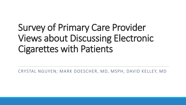# Survey of Primary Care Provider Views about Discussing Electronic Cigarettes with Patients

CRYSTAL NGUYEN; MARK DOESCHER, MD, MSPH; DAVID KELLEY, MD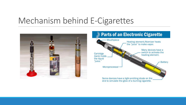## Mechanism behind E-Cigarettes



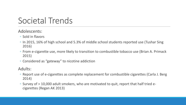# Societal Trends

### Adolescents:

- Sold in flavors
- In 2015, 16% of high school and 5.3% of middle school students reported use (Tushar Sing 2016)
- From e-cigarette use, more likely to transition to combustible tobacco use (Brian A. Primack 2015)
- Considered as "gateway" to nicotine addiction

#### Adults:

- Report use of e-cigarettes as complete replacement for combustible cigarettes (Carla J. Berg 2014)
- Survey of > 10,000 adult smokers, who are motivated to quit, report that half tried ecigarettes (Regan AK 2013)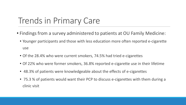# Trends in Primary Care

- Findings from a survey administered to patients at OU Family Medicine:
	- Younger participants and those with less education more often reported e-cigarette use
	- Of the 28.4% who were current smokers, 74.5% had tried e-cigarettes
	- Of 22% who were former smokers, 36.8% reported e-cigarette use in their lifetime
	- 48.3% of patients were knowledgeable about the effects of e-cigarettes
	- 75.3 % of patients would want their PCP to discuss e-cigarettes with them during a clinic visit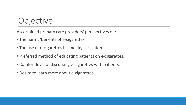# **Objective**

Ascertained primary care providers' perspectives on:

- The harms/benefits of e-cigarettes.
- The use of e-cigarettes in smoking cessation.
- Preferred method of educating patients on e-cigarettes.
- Comfort level of discussing e-cigarettes with patients.
- Desire to learn more about e-cigarettes.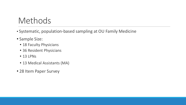# Methods

- Systematic, population-based sampling at OU Family Medicine
- Sample Size:
	- 18 Faculty Physicians
	- 36 Resident Physicians
	- 13 LPNs
	- 13 Medical Assistants (MA)
- 28 Item Paper Survey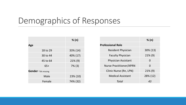# Demographics of Responses

|                    | % (n)       |  |  |
|--------------------|-------------|--|--|
| Age                |             |  |  |
| 18 to 29           | 33% (14)    |  |  |
| 30 to 44           | 40% (17)    |  |  |
| 45 to 64           | $21\%$ (9)  |  |  |
| $65+$              | $7\%$ (3)   |  |  |
| Gender *3% missing |             |  |  |
| Male               | $23\%$ (10) |  |  |
| Female             | 74% (32)    |  |  |

|                                | % (n)      |  |  |
|--------------------------------|------------|--|--|
| <b>Professional Role</b>       |            |  |  |
| <b>Resident Physician</b>      | 30% (13)   |  |  |
| <b>Faculty Physician</b>       | $21\%$ (9) |  |  |
| <b>Physician Assistant</b>     | 0          |  |  |
| <b>Nurse Practitioner/APRN</b> | 0          |  |  |
| Clinic Nurse (Rn, LPN)         | $21\%$ (9) |  |  |
| <b>Medical Assistant</b>       | 28% (12)   |  |  |
| Total                          | 43         |  |  |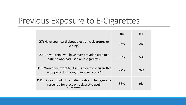## Previous Exposure to E-Cigarettes

|                                                                                                                           | <b>Yes</b> | <b>No</b> |
|---------------------------------------------------------------------------------------------------------------------------|------------|-----------|
| <b>Q7:</b> Have you heard about electronic cigarettes or<br>vaping?                                                       | 98%        | 2%        |
| Q9: Do you think you have ever provided care to a<br>patient who had used an e-cigarette?                                 | 95%        | 5%        |
| <b>Q10:</b> Would you want to discuss electronic cigarettes<br>with patients during their clinic visits?                  | 74%        | 26%       |
| <b>Q11:</b> Do you think clinic patients should be regularly<br>screened for electronic cigarette use?<br>*3% no response | 88%        | 9%        |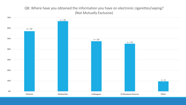#### Q8: Where have you obtained the information you have on electronic cigarettes/vaping? (Not Mutually Exclusive)

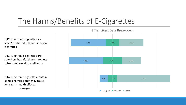## The Harms/Benefits of E-Cigarettes

Q12: Electronic cigarettes are safer/less harmful than traditional cigarettes.

Q13: Electronic cigarettes are safer/less harmful than smokeless tobacco (chew, dip, snuff, etc.)

Q14: Electronic cigarettes contain some chemicals that may cause long-term health effects.

\*2% no response



3 Tier Likert Data Breakdown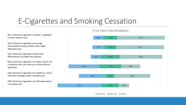## E-Cigarettes and Smoking Cessation

Q15: Electronic cigarettes could be a "gateway" to other tobacco use.

Q16: Electronic cigarettes encourage continuation among smokers who might otherwise quit.

Q17: Electronic cigarettes counter the effectiveness of smoke-free policies.

Q18: Electronic cigarettes can lower cancer risk in patients who use them as an alternative to cigarettes.

Q19: Electronic cigarettes are helpful as a harm reduction strategy and/or cessation aid.

Q20: Electronic cigarettes are FDA approved as a cessation aid.



3 Tier Likert Data Breakdown

■ Disagree ■ Neutral ■ Agree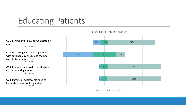# Educating Patients

Q21: My patients know about electronic cigarettes.

\*4% no response

Q22: Discussing electronic cigarettes with patients may encourage them to use electronic cigarettes. \*2% no response

Q23: It is important to discuss electronic cigarettes with patients. \*2% no response

Q24: Parents of adolescents need to know about electronic cigarettes. \*2% no response

#### 3 Tier Likert Data Breakdown

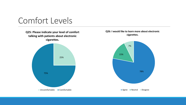

**Q25: Please indicate your level of comfort talking with patients about electronic cigarettes.**



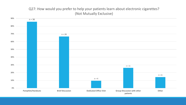#### Q27: How would you prefer to help your patients learn about electronic cigarettes? (Not Mutually Exclusive)

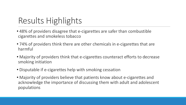# Results Highlights

- 48% of providers disagree that e-cigarettes are safer than combustible cigarettes and smokeless tobacco
- 74% of providers think there are other chemicals in e-cigarettes that are harmful
- Majority of providers think that e-cigarettes counteract efforts to decrease smoking initiation
- Disputable if e-cigarettes help with smoking cessation
- Majority of providers believe that patients know about e-cigarettes and acknowledge the importance of discussing them with adult and adolescent populations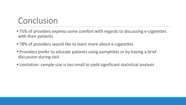# Conclusion

- 75% of providers express some comfort with regards to discussing e-cigarettes with their patients
- 78% of providers would like to learn more about e-cigarettes
- Providers prefer to educate patients using pamphlets or by having a brief discussion during visit
- Limitation: sample size is too small to yield significant statistical analysis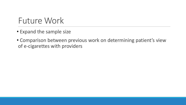# Future Work

- Expand the sample size
- Comparison between previous work on determining patient's view of e-cigarettes with providers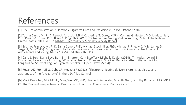# References

[1] U.S. Fire Administration. "Electronic Cigarette Fires and Explosions." *FEMA.* October 2016.

[2] Tushar Singh, M., PhD; René A. Arrazola, MPH; Catherine G. Corey, MSPH; Corinne G. Husten, MD; Linda J. Neff, PhD; David M. Homa, PhD; Brian A. King, PhD (2016). "Tobacco Use Among Middle and High School Students — United States, 2011–2015." MMWR - Morbidity & Mortality Weekly Report

[3] Brian A. Primack, M., PhD; Samir Soneji, PhD; Michael Stoolmiller, PhD; Michael J. Fine, MD, MSc; James D. Sargent, MD (2015). "Progression to Traditional Cigarette Smoking After Electronic Cigarette Use Among US Adolescents and Young Adults." <u>JAMA Pediatrics</u> 169(11).

[4] Carla J. Berg, Dana Boyd Barr, Erin Stratton, Cam Escoffery, Michelle Kegler (2014). "Attitudes toward E-Cigarettes, Reasons for Initiating E-Cigarette Use, and Changes in Smoking Behavior after Initiation: A Pilot Longitudinal Study of Regular Cigarette Smokers." Open J Prev Med 4(10).

[5] Regan AK, Promoff G, Dube SR, Arrazola R (2013). "Electronic nicotine delivery systems: adult use and awareness of the "e-cigarette" in the USA." Tob Control.

[6] Mark Doescher, MD, MSPH; Ming Wu, MD, PhD; Elizabeth Rainwater, MD; Ali Khan; Dorothy Rhoades, MD, MPH (2016). "Patient Perspectives on Discussion of Electronic Cigarettes in Primary Care."